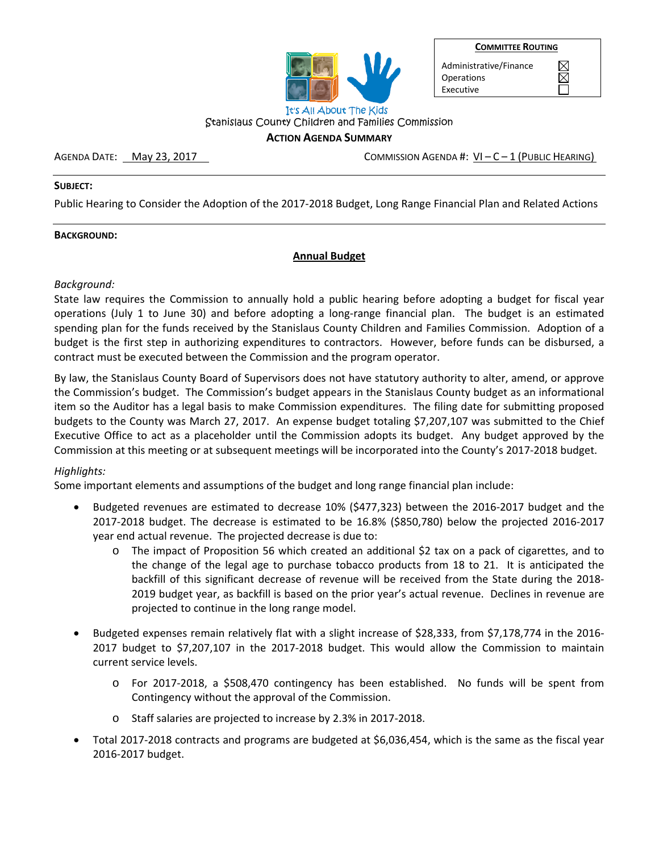| It's All About The Kids |
|-------------------------|

**COMMITTEE ROUTING**

Administrative/Finance **Operations** Executive

 $\boxtimes$ 

#### Stanislaus County Children and Families Commission **ACTION AGENDA SUMMARY**

AGENDA DATE: May 23, 2017 Married COMMISSION AGENDA #: VI-C-1 (PUBLIC HEARING)

#### **SUBJECT:**

Public Hearing to Consider the Adoption of the 2017‐2018 Budget, Long Range Financial Plan and Related Actions

#### **BACKGROUND:**

#### **Annual Budget**

#### *Background:*

State law requires the Commission to annually hold a public hearing before adopting a budget for fiscal year operations (July 1 to June 30) and before adopting a long-range financial plan. The budget is an estimated spending plan for the funds received by the Stanislaus County Children and Families Commission. Adoption of a budget is the first step in authorizing expenditures to contractors. However, before funds can be disbursed, a contract must be executed between the Commission and the program operator.

By law, the Stanislaus County Board of Supervisors does not have statutory authority to alter, amend, or approve the Commission's budget. The Commission's budget appears in the Stanislaus County budget as an informational item so the Auditor has a legal basis to make Commission expenditures. The filing date for submitting proposed budgets to the County was March 27, 2017. An expense budget totaling \$7,207,107 was submitted to the Chief Executive Office to act as a placeholder until the Commission adopts its budget. Any budget approved by the Commission at this meeting or at subsequent meetings will be incorporated into the County's 2017‐2018 budget.

#### *Highlights:*

Some important elements and assumptions of the budget and long range financial plan include:

- Budgeted revenues are estimated to decrease 10% (\$477,323) between the 2016‐2017 budget and the 2017‐2018 budget. The decrease is estimated to be 16.8% (\$850,780) below the projected 2016‐2017 year end actual revenue. The projected decrease is due to:
	- o The impact of Proposition 56 which created an additional \$2 tax on a pack of cigarettes, and to the change of the legal age to purchase tobacco products from 18 to 21. It is anticipated the backfill of this significant decrease of revenue will be received from the State during the 2018‐ 2019 budget year, as backfill is based on the prior year's actual revenue. Declines in revenue are projected to continue in the long range model.
- Budgeted expenses remain relatively flat with a slight increase of \$28,333, from \$7,178,774 in the 2016‐ 2017 budget to \$7,207,107 in the 2017‐2018 budget. This would allow the Commission to maintain current service levels.
	- o For 2017‐2018, a \$508,470 contingency has been established. No funds will be spent from Contingency without the approval of the Commission.
	- o Staff salaries are projected to increase by 2.3% in 2017‐2018.
- Total 2017‐2018 contracts and programs are budgeted at \$6,036,454, which is the same as the fiscal year 2016‐2017 budget.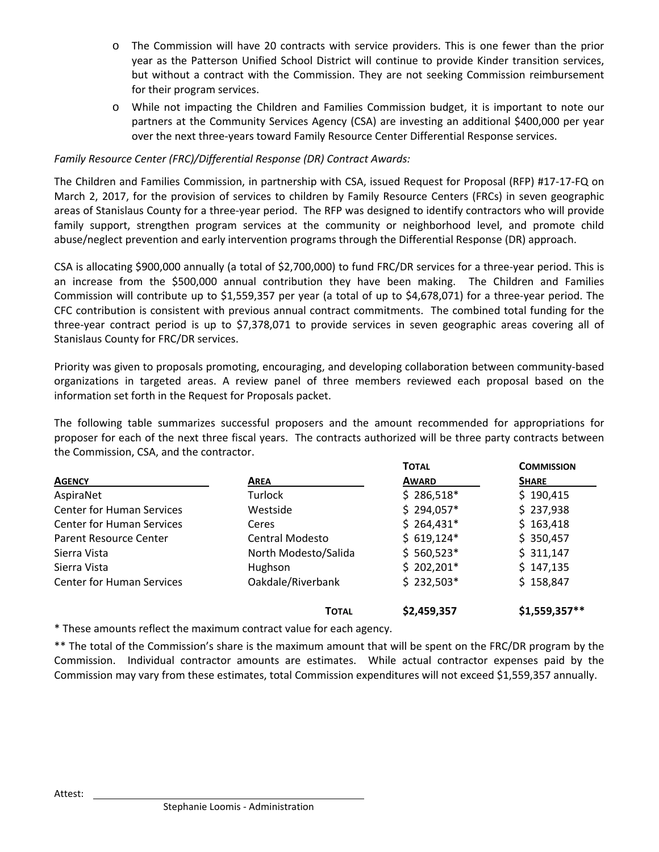- o The Commission will have 20 contracts with service providers. This is one fewer than the prior year as the Patterson Unified School District will continue to provide Kinder transition services, but without a contract with the Commission. They are not seeking Commission reimbursement for their program services.
- o While not impacting the Children and Families Commission budget, it is important to note our partners at the Community Services Agency (CSA) are investing an additional \$400,000 per year over the next three‐years toward Family Resource Center Differential Response services.

#### *Family Resource Center (FRC)/Differential Response (DR) Contract Awards:*

The Children and Families Commission, in partnership with CSA, issued Request for Proposal (RFP) #17‐17‐FQ on March 2, 2017, for the provision of services to children by Family Resource Centers (FRCs) in seven geographic areas of Stanislaus County for a three‐year period. The RFP was designed to identify contractors who will provide family support, strengthen program services at the community or neighborhood level, and promote child abuse/neglect prevention and early intervention programs through the Differential Response (DR) approach.

CSA is allocating \$900,000 annually (a total of \$2,700,000) to fund FRC/DR services for a three‐year period. This is an increase from the \$500,000 annual contribution they have been making. The Children and Families Commission will contribute up to \$1,559,357 per year (a total of up to \$4,678,071) for a three‐year period. The CFC contribution is consistent with previous annual contract commitments. The combined total funding for the three‐year contract period is up to \$7,378,071 to provide services in seven geographic areas covering all of Stanislaus County for FRC/DR services.

Priority was given to proposals promoting, encouraging, and developing collaboration between community‐based organizations in targeted areas. A review panel of three members reviewed each proposal based on the information set forth in the Request for Proposals packet.

The following table summarizes successful proposers and the amount recommended for appropriations for proposer for each of the next three fiscal years. The contracts authorized will be three party contracts between the Commission, CSA, and the contractor.

|                                  |                      | <b>TOTAL</b> | <b>COMMISSION</b> |
|----------------------------------|----------------------|--------------|-------------------|
| <b>AGENCY</b>                    | AREA                 | <b>AWARD</b> | <b>SHARE</b>      |
| AspiraNet                        | Turlock              | $$286,518*$  | \$190,415         |
| <b>Center for Human Services</b> | Westside             | $$294,057*$  | \$237,938         |
| <b>Center for Human Services</b> | Ceres                | $$264,431*$  | \$163,418         |
| Parent Resource Center           | Central Modesto      | $$619,124*$  | \$350,457         |
| Sierra Vista                     | North Modesto/Salida | $$560,523*$  | \$311,147         |
| Sierra Vista                     | Hughson              | $$202,201*$  | \$147,135         |
| <b>Center for Human Services</b> | Oakdale/Riverbank    | $$232,503*$  | \$158,847         |
|                                  | <b>TOTAL</b>         | \$2,459,357  | \$1,559,357**     |

\* These amounts reflect the maximum contract value for each agency.

\*\* The total of the Commission's share is the maximum amount that will be spent on the FRC/DR program by the Commission. Individual contractor amounts are estimates. While actual contractor expenses paid by the Commission may vary from these estimates, total Commission expenditures will not exceed \$1,559,357 annually.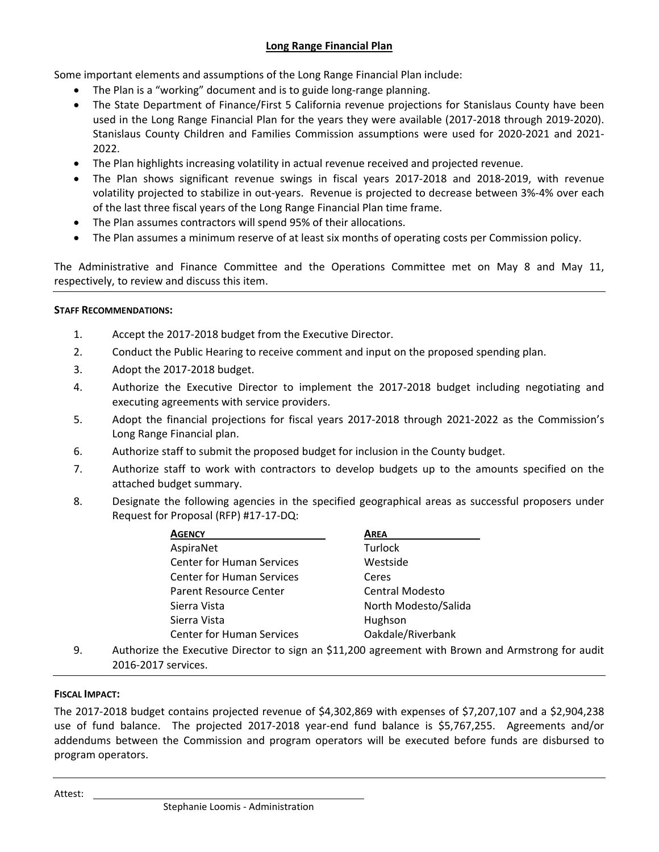#### **Long Range Financial Plan**

Some important elements and assumptions of the Long Range Financial Plan include:

- The Plan is a "working" document and is to guide long-range planning.
- The State Department of Finance/First 5 California revenue projections for Stanislaus County have been used in the Long Range Financial Plan for the years they were available (2017-2018 through 2019-2020). Stanislaus County Children and Families Commission assumptions were used for 2020‐2021 and 2021‐ 2022.
- The Plan highlights increasing volatility in actual revenue received and projected revenue.
- The Plan shows significant revenue swings in fiscal years 2017‐2018 and 2018‐2019, with revenue volatility projected to stabilize in out‐years. Revenue is projected to decrease between 3%‐4% over each of the last three fiscal years of the Long Range Financial Plan time frame.
- The Plan assumes contractors will spend 95% of their allocations.
- The Plan assumes a minimum reserve of at least six months of operating costs per Commission policy.

The Administrative and Finance Committee and the Operations Committee met on May 8 and May 11, respectively, to review and discuss this item.

#### **STAFF RECOMMENDATIONS:**

- 1. Accept the 2017‐2018 budget from the Executive Director.
- 2. Conduct the Public Hearing to receive comment and input on the proposed spending plan.
- 3. Adopt the 2017‐2018 budget.
- 4. Authorize the Executive Director to implement the 2017-2018 budget including negotiating and executing agreements with service providers.
- 5. Adopt the financial projections for fiscal years 2017-2018 through 2021-2022 as the Commission's Long Range Financial plan.
- 6. Authorize staff to submit the proposed budget for inclusion in the County budget.
- 7. Authorize staff to work with contractors to develop budgets up to the amounts specified on the attached budget summary.
- 8. Designate the following agencies in the specified geographical areas as successful proposers under Request for Proposal (RFP) #17‐17‐DQ:

| <b>AGENCY</b>                    | <b>AREA</b>          |
|----------------------------------|----------------------|
| AspiraNet                        | Turlock              |
| <b>Center for Human Services</b> | Westside             |
| <b>Center for Human Services</b> | Ceres                |
| Parent Resource Center           | Central Modesto      |
| Sierra Vista                     | North Modesto/Salida |
| Sierra Vista                     | Hughson              |
| <b>Center for Human Services</b> | Oakdale/Riverbank    |
|                                  |                      |

9. Authorize the Executive Director to sign an \$11,200 agreement with Brown and Armstrong for audit 2016‐2017 services.

#### **FISCAL IMPACT:**

The 2017‐2018 budget contains projected revenue of \$4,302,869 with expenses of \$7,207,107 and a \$2,904,238 use of fund balance. The projected 2017-2018 year-end fund balance is \$5,767,255. Agreements and/or addendums between the Commission and program operators will be executed before funds are disbursed to program operators.

Attest: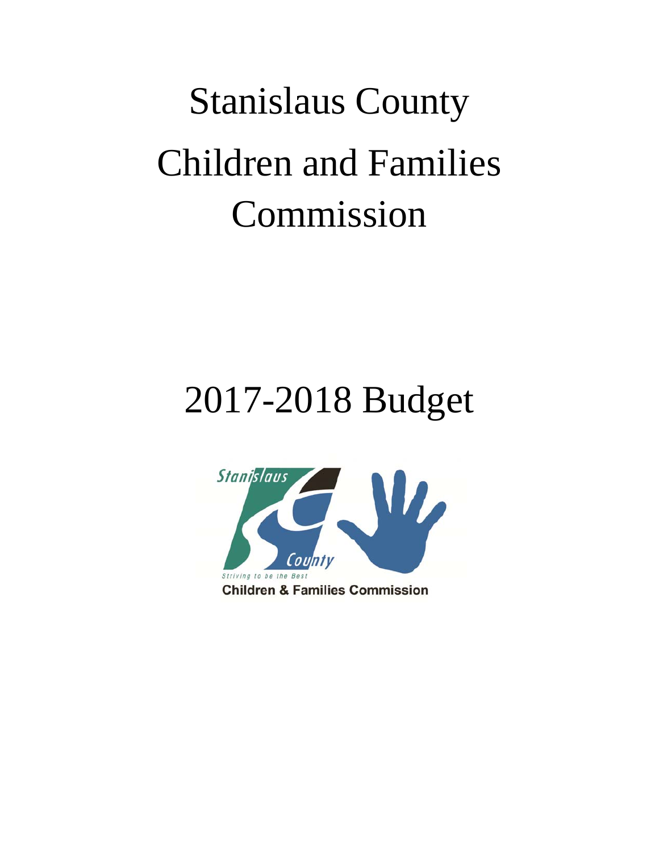# Stanislaus County Children and Families Commission

## 2017-2018 Budget

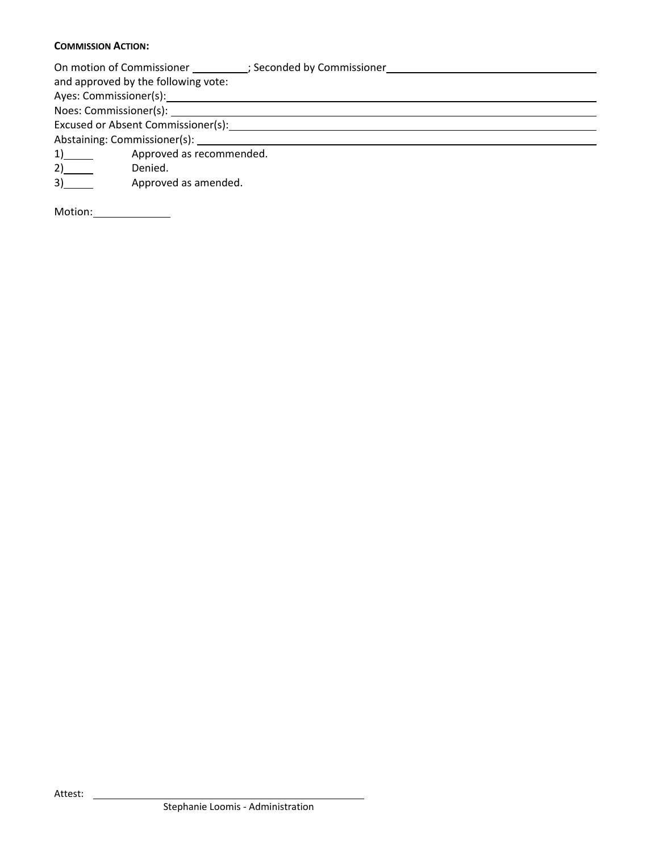#### **COMMISSION ACTION:**

On motion of Commissioner ; Seconded by Commissioner and approved by the following vote: Ayes: Commissioner(s): Noes: Commissioner(s): Excused or Absent Commissioner(s): Excused or Absent Commissioner(s): Abstaining: Commissioner(s): 1) Approved as recommended. 2)\_\_\_\_\_\_\_\_ Denied. 3) 3 Approved as amended.

Motion: \_\_\_\_\_\_\_\_\_\_\_\_\_\_\_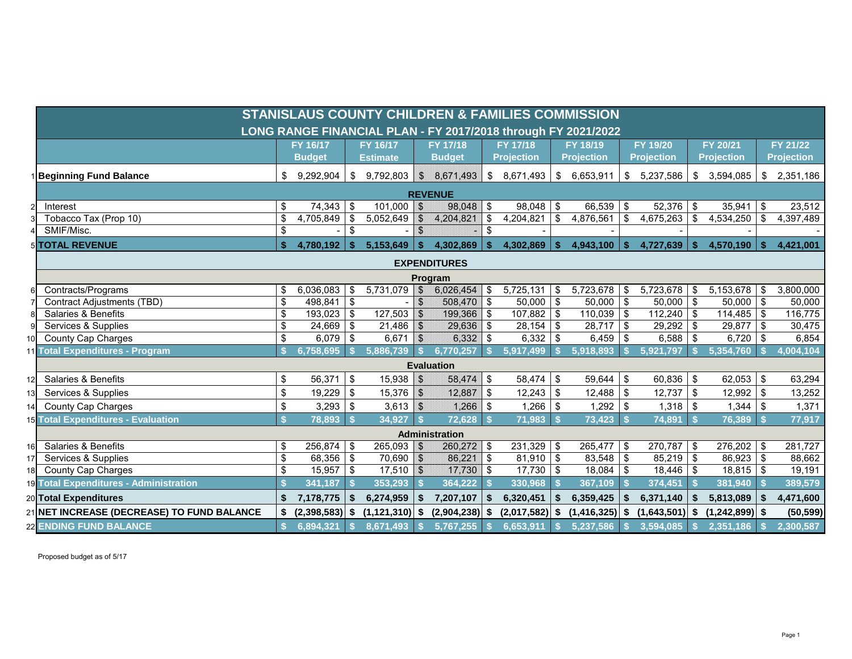|                | <b>STANISLAUS COUNTY CHILDREN &amp; FAMILIES COMMISSION</b>   |    |                  |                            |                  |                |                     |                            |                   |                            |                   |                            |                   |                            |                   |                            |                   |
|----------------|---------------------------------------------------------------|----|------------------|----------------------------|------------------|----------------|---------------------|----------------------------|-------------------|----------------------------|-------------------|----------------------------|-------------------|----------------------------|-------------------|----------------------------|-------------------|
|                | LONG RANGE FINANCIAL PLAN - FY 2017/2018 through FY 2021/2022 |    |                  |                            |                  |                |                     |                            |                   |                            |                   |                            |                   |                            |                   |                            |                   |
|                |                                                               |    | FY 16/17         |                            | FY 16/17         |                | FY 17/18            |                            | FY 17/18          |                            | FY 18/19          |                            | FY 19/20          |                            | FY 20/21          |                            | FY 21/22          |
|                |                                                               |    | <b>Budget</b>    |                            | <b>Estimate</b>  |                | <b>Budget</b>       |                            | <b>Projection</b> |                            | <b>Projection</b> |                            | <b>Projection</b> |                            | <b>Projection</b> |                            | <b>Projection</b> |
|                | 1 Beginning Fund Balance                                      |    | 9,292,904        | $\mathfrak{F}$             | 9,792,803        | $\mathcal{S}$  | 8,671,493           | $\frac{1}{2}$              | 8,671,493         | $\boldsymbol{\mathsf{S}}$  | 6,653,911         | $\boldsymbol{\mathcal{S}}$ | 5,237,586         | \$                         | 3,594,085         | $\mathfrak{F}$             | 2,351,186         |
|                | <b>REVENUE</b>                                                |    |                  |                            |                  |                |                     |                            |                   |                            |                   |                            |                   |                            |                   |                            |                   |
| $\overline{2}$ | Interest                                                      | \$ | 74,343           | $\boldsymbol{\mathcal{F}}$ | 101,000          | $\mathcal{L}$  | 98,048              | $\boldsymbol{\mathcal{S}}$ | 98,048            | $\mathfrak{F}$             | 66,539            | $\boldsymbol{\mathcal{F}}$ | 52,376            | $\boldsymbol{\mathcal{S}}$ | 35,941            | $\boldsymbol{\mathcal{F}}$ | 23,512            |
|                | Tobacco Tax (Prop 10)                                         |    | 4,705,849        | $\mathfrak{L}$             | 5,052,649        | $\mathbb{S}$   | 4,204,821           | $\mathfrak{L}$             | 4,204,821         | $\mathfrak{F}$             | 4,876,561         | $\mathfrak{S}$             | 4,675,263         | \$                         | 4,534,250         | $\boldsymbol{\mathcal{S}}$ | 4,397,489         |
| 41             | SMIF/Misc.                                                    | \$ |                  | $\boldsymbol{\mathsf{S}}$  |                  | $\sqrt{2}$     |                     | \$                         |                   |                            |                   |                            |                   |                            |                   |                            |                   |
|                | <b>5 TOTAL REVENUE</b>                                        |    | 4,780,192        | $\mathbf{s}$               | 5,153,649        |                | 4,302,869           | $\mathbf{s}$               | 4,302,869         | -\$                        | 4,943,100         | -S                         | 4,727,639         | <b>S</b>                   | 4,570,190         | $\mathbf{s}$               | 4,421,001         |
|                |                                                               |    |                  |                            |                  |                | <b>EXPENDITURES</b> |                            |                   |                            |                   |                            |                   |                            |                   |                            |                   |
|                |                                                               |    |                  |                            |                  |                | Program             |                            |                   |                            |                   |                            |                   |                            |                   |                            |                   |
| 6              | Contracts/Programs                                            | \$ | 6,036,083        | $\mathfrak{F}$             | 5,731,079        | \$             | 6,026,454           | \$                         | 5,725,131         | \$                         | 5,723,678         | $\boldsymbol{\mathcal{S}}$ | 5,723,678         | \$                         | 5,153,678         | $\mathfrak{F}$             | 3,800,000         |
|                | <b>Contract Adjustments (TBD)</b>                             | \$ | 498,841          | \$                         |                  | S.             | 508,470 \$          |                            | 50,000            | \$                         | 50,000            | \$                         | 50,000            | -\$                        | 50,000            | \$                         | 50,000            |
| 8              | <b>Salaries &amp; Benefits</b>                                | \$ | 193,023          |                            | 127,503          | $\mathfrak{S}$ | 199,366             | \$                         | 107,882           | \$                         | 110,039           | $\mathfrak{F}$             | 112,240           | -\$                        | 114,485           | \$                         | 116,775           |
| 9              | Services & Supplies                                           | \$ | 24,669           | \$                         | 21,486           | $\mathcal{L}$  | 29,636              | l \$                       | 28,154            | \$                         | 28,717            | \$                         | 29,292            | \$                         | 29,877            | \$                         | 30,475            |
| 10             | <b>County Cap Charges</b>                                     |    | 6,079            | \$                         | 6,671            | $\mathcal{L}$  | $6,332$ \$          |                            | 6,332             | -\$                        | 6,459             | $\boldsymbol{\mathsf{\$}}$ | 6,588             | \$                         | 6,720             | \$                         | 6,854             |
|                | 11 Total Expenditures - Program                               |    | 6,758,695        |                            | 5,886,739        |                | 6,770,257           |                            | 5,917,499         |                            | 5,918,893         |                            | 5,921,797         |                            | 5,354,760         |                            | 4,004,104         |
|                |                                                               |    |                  |                            |                  |                | <b>Evaluation</b>   |                            |                   |                            |                   |                            |                   |                            |                   |                            |                   |
| 12             | <b>Salaries &amp; Benefits</b>                                | \$ | 56,371           | $\mathfrak{S}$             | 15,938           | $\mathbb{S}$   | 58,474              | $\sqrt{3}$                 | 58,474            | $\boldsymbol{\mathcal{F}}$ | 59,644            | $\boldsymbol{\mathsf{S}}$  | 60,836            | $\boldsymbol{\mathsf{S}}$  | 62,053            | $\boldsymbol{\mathcal{F}}$ | 63,294            |
| 13             | Services & Supplies                                           | \$ | 19,229           | \$                         | 15,376           | \$             | 12,887              | - \$                       | 12,243            | \$                         | 12,488            | \$                         | 12,737            | -\$                        | 12,992            | \$                         | 13,252            |
| 14             | <b>County Cap Charges</b>                                     |    | 3,293            | \$                         | $3,613$ \$       |                | $1,266$ \$          |                            | 1,266             | - \$                       | 1,292             | - \$                       | $1,318$ \$        |                            | 1,344             | - \$                       | 1,371             |
|                | <b>15 Total Expenditures - Evaluation</b>                     |    | 78,893 \$        |                            | $34,927$ \$      |                | $72,628$ \$         |                            | $71,983$ \$       |                            | $73,423$ \$       |                            | $74,891$ \$       |                            | $76,389$ \$       |                            | 77,917            |
|                |                                                               |    |                  |                            |                  |                | Administration      |                            |                   |                            |                   |                            |                   |                            |                   |                            |                   |
| 16             | <b>Salaries &amp; Benefits</b>                                | \$ | $256,874$ \ \$   |                            | 265,093          | -S             | 260,272 \$          |                            | $231,329$ \ \$    |                            | 265,477           | $\boldsymbol{\mathsf{S}}$  | $270,787$ \\$     |                            | 276,202           | \$                         | 281,727           |
| 17             | Services & Supplies                                           | \$ | 68,356           | \$                         | 70,690           | \$             | 86,221              | -\$                        | $81,910$   \$     |                            | 83,548            | -\$                        | 85,219            | \$                         | 86,923            | \$                         | 88,662            |
|                | 18 County Cap Charges                                         |    | 15,957           | \$                         | $17,510$ \$      |                | $17,730$ \$         |                            | $17,730$   \$     |                            | 18,084            | - \$                       |                   |                            | $18,815$ \ \$     |                            | 19,191            |
|                | 19 Total Expenditures - Administration                        |    | 341,187          |                            | 353,293          |                | 364,222             |                            | 330,968           |                            | 367,109           |                            | 374,451           |                            | 381,940           |                            | 389,579           |
|                | 20 Total Expenditures                                         |    | 7,178,775        | $\mathbf s$                | 6,274,959        |                | 7,207,107           | $\mathbf S$                | 6,320,451         |                            | 6,359,425         |                            | 6,371,140         |                            | 5,813,089         |                            | 4,471,600         |
|                | 21 NET INCREASE (DECREASE) TO FUND BALANCE                    |    | $(2,398,583)$ \$ |                            | $(1,121,310)$ \$ |                | $(2,904,238)$ \$    |                            | $(2,017,582)$ \$  |                            | (1, 416, 325)     | - \$                       | $(1,643,501)$ \$  |                            | $(1,242,899)$ \$  |                            | (50, 599)         |
|                | <b>22 ENDING FUND BALANCE</b>                                 |    | 6,894,321        |                            | 8,671,493        |                | 5,767,255           | <b>S</b>                   | 6,653,911         |                            | 5,237,586         |                            | 3,594,085         |                            | 2,351,186         |                            | 2,300,587         |

Proposed budget as of 5/17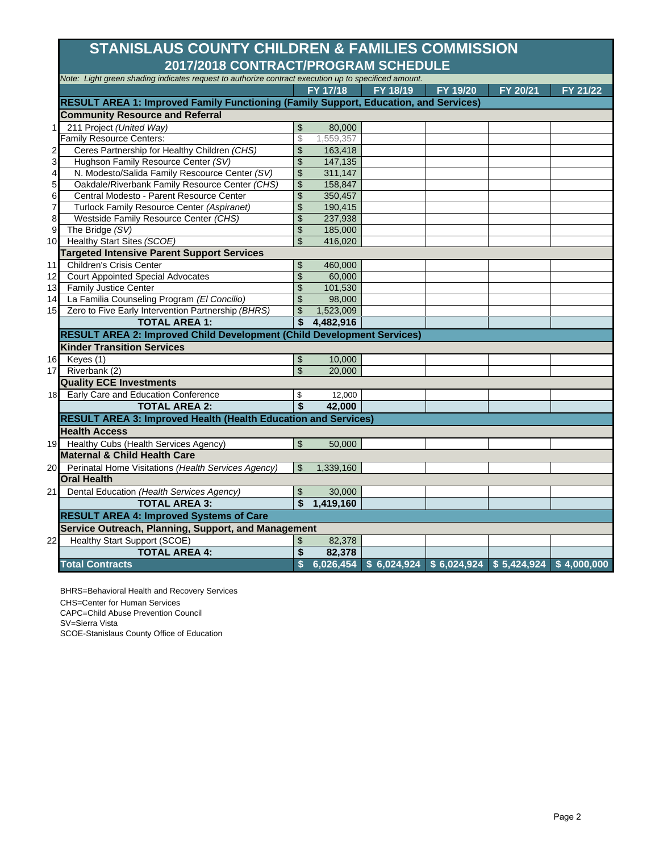### **2017/2018 CONTRACT/PROGRAM SCHEDULE STANISLAUS COUNTY CHILDREN & FAMILIES COMMISSION**

|                 | Note: Light green shading indicates request to authorize contract execution up to specificed amount. |                         |           |                                                                 |          |          |          |  |  |  |  |
|-----------------|------------------------------------------------------------------------------------------------------|-------------------------|-----------|-----------------------------------------------------------------|----------|----------|----------|--|--|--|--|
|                 |                                                                                                      |                         | FY 17/18  | FY 18/19                                                        | FY 19/20 | FY 20/21 | FY 21/22 |  |  |  |  |
|                 | RESULT AREA 1: Improved Family Functioning (Family Support, Education, and Services)                 |                         |           |                                                                 |          |          |          |  |  |  |  |
|                 | <b>Community Resource and Referral</b>                                                               |                         |           |                                                                 |          |          |          |  |  |  |  |
| 11              | 211 Project (United Way)                                                                             | \$                      | 80,000    |                                                                 |          |          |          |  |  |  |  |
|                 | <b>Family Resource Centers:</b>                                                                      | \$                      | 1,559,357 |                                                                 |          |          |          |  |  |  |  |
| $\mathbf{2}$    | Ceres Partnership for Healthy Children (CHS)                                                         | \$                      | 163,418   |                                                                 |          |          |          |  |  |  |  |
| $\mathbf{3}$    | Hughson Family Resource Center (SV)                                                                  | \$                      | 147,135   |                                                                 |          |          |          |  |  |  |  |
| $\overline{4}$  | N. Modesto/Salida Family Rescource Center (SV)                                                       | \$                      | 311,147   |                                                                 |          |          |          |  |  |  |  |
| $5\overline{)}$ | Oakdale/Riverbank Family Resource Center (CHS)                                                       | \$                      | 158,847   |                                                                 |          |          |          |  |  |  |  |
| $6 \,$          | Central Modesto - Parent Resource Center                                                             | \$                      | 350,457   |                                                                 |          |          |          |  |  |  |  |
| $\overline{7}$  | Turlock Family Resource Center (Aspiranet)                                                           | \$                      | 190,415   |                                                                 |          |          |          |  |  |  |  |
| 8               | Westside Family Resource Center (CHS)                                                                | \$                      | 237,938   |                                                                 |          |          |          |  |  |  |  |
| 9               | The Bridge (SV)                                                                                      | $\frac{1}{2}$           | 185,000   |                                                                 |          |          |          |  |  |  |  |
| 10 <sup>1</sup> | Healthy Start Sites (SCOE)                                                                           | \$                      | 416,020   |                                                                 |          |          |          |  |  |  |  |
|                 | <b>Targeted Intensive Parent Support Services</b>                                                    |                         |           |                                                                 |          |          |          |  |  |  |  |
| 11              | <b>Children's Crisis Center</b>                                                                      | \$                      | 460,000   |                                                                 |          |          |          |  |  |  |  |
|                 | 12 Court Appointed Special Advocates                                                                 | $\frac{1}{2}$           | 60,000    |                                                                 |          |          |          |  |  |  |  |
| 13              | <b>Family Justice Center</b>                                                                         | \$                      | 101,530   |                                                                 |          |          |          |  |  |  |  |
|                 | 14 La Familia Counseling Program (El Concilio)                                                       | \$                      | 98,000    |                                                                 |          |          |          |  |  |  |  |
|                 | 15 Zero to Five Early Intervention Partnership (BHRS)                                                | \$                      | 1,523,009 |                                                                 |          |          |          |  |  |  |  |
|                 | <b>TOTAL AREA 1:</b>                                                                                 | \$                      | 4,482,916 |                                                                 |          |          |          |  |  |  |  |
|                 | <b>RESULT AREA 2: Improved Child Development (Child Development Services)</b>                        |                         |           |                                                                 |          |          |          |  |  |  |  |
|                 | <b>Kinder Transition Services</b>                                                                    |                         |           |                                                                 |          |          |          |  |  |  |  |
|                 | 16 Keyes (1)                                                                                         | \$                      | 10,000    |                                                                 |          |          |          |  |  |  |  |
|                 | 17 Riverbank (2)                                                                                     | $\mathfrak{S}$          | 20,000    |                                                                 |          |          |          |  |  |  |  |
|                 | <b>Quality ECE Investments</b>                                                                       |                         |           |                                                                 |          |          |          |  |  |  |  |
|                 | 18 Early Care and Education Conference                                                               | \$                      | 12,000    |                                                                 |          |          |          |  |  |  |  |
|                 | <b>TOTAL AREA 2:</b>                                                                                 | $\overline{\mathbf{s}}$ | 42,000    |                                                                 |          |          |          |  |  |  |  |
|                 | <b>RESULT AREA 3: Improved Health (Health Education and Services)</b>                                |                         |           |                                                                 |          |          |          |  |  |  |  |
|                 | <b>Health Access</b>                                                                                 |                         |           |                                                                 |          |          |          |  |  |  |  |
|                 | 19 Healthy Cubs (Health Services Agency)                                                             | $\mathfrak{S}$          | 50,000    |                                                                 |          |          |          |  |  |  |  |
|                 | <b>Maternal &amp; Child Health Care</b>                                                              |                         |           |                                                                 |          |          |          |  |  |  |  |
|                 | 20 Perinatal Home Visitations (Health Services Agency)                                               | \$                      | 1,339,160 |                                                                 |          |          |          |  |  |  |  |
|                 | <b>Oral Health</b>                                                                                   |                         |           |                                                                 |          |          |          |  |  |  |  |
| 21              | Dental Education (Health Services Agency)                                                            | $\mathfrak{S}$          | 30,000    |                                                                 |          |          |          |  |  |  |  |
|                 | <b>TOTAL AREA 3:</b>                                                                                 | \$                      | 1,419,160 |                                                                 |          |          |          |  |  |  |  |
|                 | <b>RESULT AREA 4: Improved Systems of Care</b>                                                       |                         |           |                                                                 |          |          |          |  |  |  |  |
|                 | Service Outreach, Planning, Support, and Management                                                  |                         |           |                                                                 |          |          |          |  |  |  |  |
| 22              | Healthy Start Support (SCOE)                                                                         | $\mathfrak{S}$          | 82,378    |                                                                 |          |          |          |  |  |  |  |
|                 | <b>TOTAL AREA 4:</b>                                                                                 | \$                      | 82,378    |                                                                 |          |          |          |  |  |  |  |
|                 | <b>Total Contracts</b>                                                                               |                         |           | $6,026,454$ \$ 6,024,924 \$ 6,024,924 \$ 5,424,924 \$ 4,000,000 |          |          |          |  |  |  |  |

BHRS=Behavioral Health and Recovery Services

CHS=Center for Human Services

CAPC=Child Abuse Prevention Council

SV=Sierra Vista

SCOE-Stanislaus County Office of Education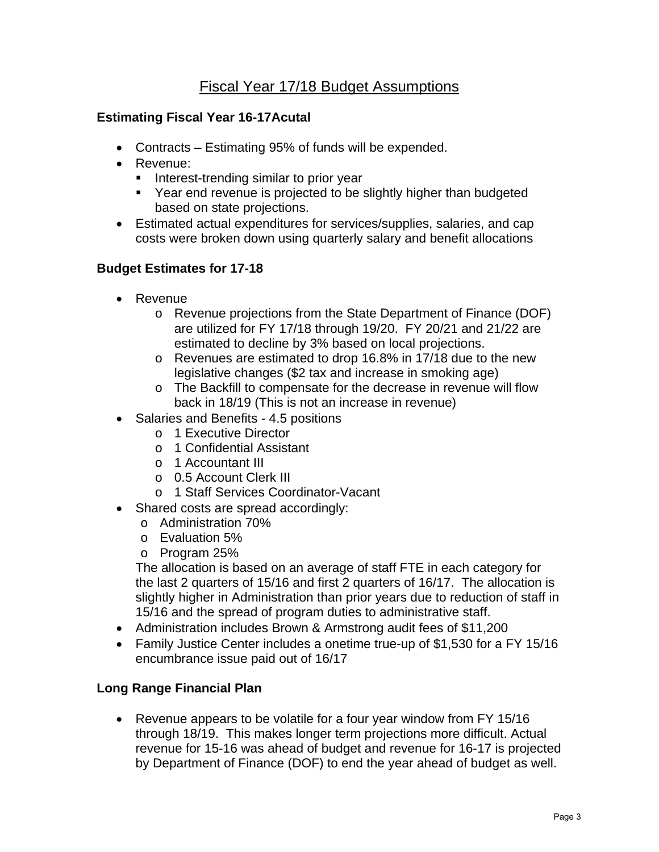#### Fiscal Year 17/18 Budget Assumptions

#### **Estimating Fiscal Year 16-17Acutal**

- Contracts Estimating 95% of funds will be expended.
- Revenue:
	- **Interest-trending similar to prior year**
	- Year end revenue is projected to be slightly higher than budgeted based on state projections.
- Estimated actual expenditures for services/supplies, salaries, and cap costs were broken down using quarterly salary and benefit allocations

#### **Budget Estimates for 17-18**

- Revenue
	- o Revenue projections from the State Department of Finance (DOF) are utilized for FY 17/18 through 19/20. FY 20/21 and 21/22 are estimated to decline by 3% based on local projections.
	- o Revenues are estimated to drop 16.8% in 17/18 due to the new legislative changes (\$2 tax and increase in smoking age)
	- o The Backfill to compensate for the decrease in revenue will flow back in 18/19 (This is not an increase in revenue)
- Salaries and Benefits 4.5 positions
	- o 1 Executive Director
	- o 1 Confidential Assistant
	- o 1 Accountant III
	- o 0.5 Account Clerk III
	- o 1 Staff Services Coordinator-Vacant
- Shared costs are spread accordingly:
	- o Administration 70%
	- o Evaluation 5%
	- o Program 25%

The allocation is based on an average of staff FTE in each category for the last 2 quarters of 15/16 and first 2 quarters of 16/17. The allocation is slightly higher in Administration than prior years due to reduction of staff in 15/16 and the spread of program duties to administrative staff.

- Administration includes Brown & Armstrong audit fees of \$11,200
- Family Justice Center includes a onetime true-up of \$1,530 for a FY 15/16 encumbrance issue paid out of 16/17

#### **Long Range Financial Plan**

• Revenue appears to be volatile for a four year window from FY 15/16 through 18/19. This makes longer term projections more difficult. Actual revenue for 15-16 was ahead of budget and revenue for 16-17 is projected by Department of Finance (DOF) to end the year ahead of budget as well.